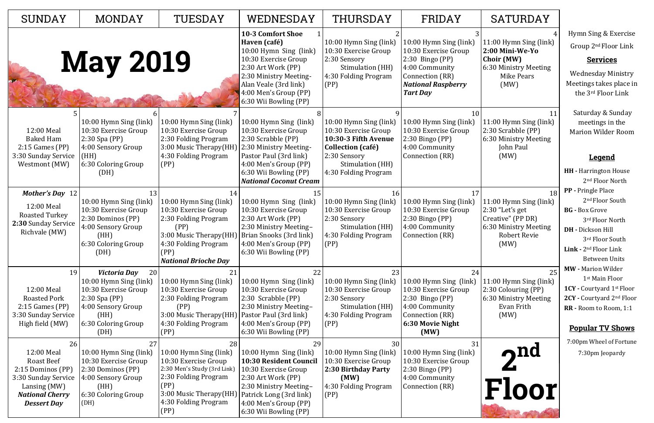4 11:00 Hymn Sing (link) **2:00 Mini-We-Yo Choir (MW)** 6:30 Ministry Meeting Mike Pears (MW)

11 11:00 Hymn Sing (link) 2:30 Scrabble (PP) 6:30 Ministry Meeting John Paul (MW)

18 11:00 Hymn Sing (link) 2:30 "Let's get Creative" (PP DR) 6:30 Ministry Meeting Robert Revie (MW)

| <b>SUNDAY</b>                                                                                                                                     | <b>MONDAY</b>                                                                                                                                        | TUESDAY                                                                                                                                                                        | WEDNESDAY                                                                                                                                                                                                             | THURSDAY                                                                                                                                                       | FRIDAY                                                                                                                                                   |
|---------------------------------------------------------------------------------------------------------------------------------------------------|------------------------------------------------------------------------------------------------------------------------------------------------------|--------------------------------------------------------------------------------------------------------------------------------------------------------------------------------|-----------------------------------------------------------------------------------------------------------------------------------------------------------------------------------------------------------------------|----------------------------------------------------------------------------------------------------------------------------------------------------------------|----------------------------------------------------------------------------------------------------------------------------------------------------------|
|                                                                                                                                                   | <b>May 2019</b>                                                                                                                                      |                                                                                                                                                                                | <b>10-3 Comfort Shoe</b><br>Haven (café)<br>10:00 Hymn Sing (link)<br>10:30 Exercise Group<br>2:30 Art Work (PP)<br>2:30 Ministry Meeting-<br>Alan Veale (3rd link)<br>4:00 Men's Group (PP)<br>6:30 Wii Bowling (PP) | 10:00 Hymn Sing (link)<br>10:30 Exercise Group<br>2:30 Sensory<br>Stimulation (HH)<br>4:30 Folding Program<br>(PP)                                             | 10:00 Hymn Sing (link)<br>10:30 Exercise Group<br>$2:30$ Bingo (PP)<br>4:00 Community<br>Connection (RR)<br><b>National Raspberry</b><br><b>Tart Day</b> |
| 12:00 Meal<br><b>Baked Ham</b><br>$2:15$ Games (PP)<br>3:30 Sunday Service<br>Westmont (MW)                                                       | 10:00 Hymn Sing (link)<br>10:30 Exercise Group<br>$2:30$ Spa (PP)<br>4:00 Sensory Group<br>(HH)<br>6:30 Coloring Group<br>(DH)                       | 10:00 Hymn Sing (link)<br>10:30 Exercise Group<br>2:30 Folding Program<br>3:00 Music Therapy(HH)<br>4:30 Folding Program<br>(PP)                                               | 10:00 Hymn Sing (link)<br>10:30 Exercise Group<br>2:30 Scrabble (PP)<br>2:30 Ministry Meeting-<br>Pastor Paul (3rd link)<br>4:00 Men's Group (PP)<br>6:30 Wii Bowling (PP)<br><b>National Coconut Cream</b>           | 10:00 Hymn Sing (link)<br>10:30 Exercise Group<br>10:30-3 Fifth Avenue<br><b>Collection (café)</b><br>2:30 Sensory<br>Stimulation (HH)<br>4:30 Folding Program | 10<br>10:00 Hymn Sing (link)<br>10:30 Exercise Group<br>$2:30$ Bingo (PP)<br>4:00 Community<br>Connection (RR)                                           |
| <b>Mother's Day</b> 12<br>12:00 Meal<br><b>Roasted Turkey</b><br>2:30 Sunday Service<br>Richvale (MW)                                             | 13<br>10:00 Hymn Sing (link)<br>10:30 Exercise Group<br>2:30 Dominos (PP)<br>4:00 Sensory Group<br>(HH)<br>6:30 Coloring Group<br>(DH)               | 14<br>10:00 Hymn Sing (link)<br>10:30 Exercise Group<br>2:30 Folding Program<br>(PP)<br>3:00 Music Therapy (HH)<br>4:30 Folding Program<br>(PP)<br><b>National Brioche Day</b> | 15<br>10:00 Hymn Sing (link)<br>10:30 Exercise Group<br>2:30 Art Work (PP)<br>2:30 Ministry Meeting-<br>Brian Snooks (3rd link)<br>4:00 Men's Group (PP)<br>6:30 Wii Bowling (PP)                                     | 16<br>10:00 Hymn Sing (link)<br>10:30 Exercise Group<br>2:30 Sensory<br>Stimulation (HH)<br>4:30 Folding Program<br>(PP)                                       | 17<br>10:00 Hymn Sing (link)<br>10:30 Exercise Group<br>$2:30$ Bingo (PP)<br>4:00 Community<br>Connection (RR)                                           |
| 19<br>12:00 Meal<br><b>Roasted Pork</b><br>$2:15$ Games (PP)<br>3:30 Sunday Service<br>High field (MW)                                            | Victoria Day<br>20<br>10:00 Hymn Sing (link)<br>10:30 Exercise Group<br>$2:30$ Spa (PP)<br>4:00 Sensory Group<br>(HH)<br>6:30 Coloring Group<br>(DH) | 21<br>10:00 Hymn Sing (link)<br>10:30 Exercise Group<br>2:30 Folding Program<br>(PP)<br>3:00 Music Therapy(HH)<br>4:30 Folding Program<br>(PP)                                 | 22<br>10:00 Hymn Sing (link)<br>10:30 Exercise Group<br>2:30 Scrabble (PP)<br>2:30 Ministry Meeting-<br>Pastor Paul (3rd link)<br>4:00 Men's Group (PP)<br>6:30 Wii Bowling (PP)                                      | 23<br>10:00 Hymn Sing (link)<br>10:30 Exercise Group<br>2:30 Sensory<br>Stimulation (HH)<br>4:30 Folding Program<br>(PP)                                       | 24<br>10:00 Hymn Sing (link)<br>10:30 Exercise Group<br>$2:30$ Bingo (PP)<br>4:00 Community<br>Connection (RR)<br>6:30 Movie Night<br>(MW)               |
| 26<br>12:00 Meal<br><b>Roast Beef</b><br>2:15 Dominos (PP)<br>3:30 Sunday Service<br>Lansing (MW)<br><b>National Cherry</b><br><b>Dessert Day</b> | 27<br>10:00 Hymn Sing (link)<br>10:30 Exercise Group<br>2:30 Dominos (PP)<br>4:00 Sensory Group<br>(HH)<br>6:30 Coloring Group<br>(DH)               | 28<br>10:00 Hymn Sing (link)<br>10:30 Exercise Group<br>2:30 Men's Study (3rd Link)<br>2:30 Folding Program<br>(PP)<br>3:00 Music Therapy(HH)<br>4:30 Folding Program<br>(PP)  | 29<br>10:00 Hymn Sing (link)<br><b>10:30 Resident Council</b><br>10:30 Exercise Group<br>2:30 Art Work (PP)<br>2:30 Ministry Meeting-<br>Patrick Long (3rd link)<br>4:00 Men's Group (PP)<br>6:30 Wii Bowling (PP)    | 30<br>10:00 Hymn Sing (link)<br>10:30 Exercise Group<br>2:30 Birthday Party<br>(MW)<br>4:30 Folding Program<br>(PP)                                            | 31<br>10:00 Hymn Sing (link)<br>10:30 Exercise Group<br>2:30 Bingo (PP)<br>4:00 Community<br>Connection (RR)                                             |

## SATURDAY

25 11:00 Hymn Sing (link) 2:30 Colouring (PP) 6:30 Ministry Meeting Evan Frith (MW)

Hymn Sing & Exercise Group 2nd Floor Link

## **Services**

Wednesday Ministry Meetings takes place in the 3rd Floor Link

Saturday & Sunday meetings in the Marion Wilder Room

## **Legend**

- **HH -** Harrington House 2nd Floor North
- **PP -** Pringle Place 2<sup>nd</sup> Floor South
- **BG -** Box Grove 3rd Floor North
- **DH -** Dickson Hill 3rd Floor South
- **Link -** 2nd Floor Link Between Units
- **MW -** Marion Wilder 1st Main Floor
- **1CY -** Courtyard 1st Floor
- **2CY -** Courtyard 2nd Floor
- **RR -** Room to Room, 1:1

## **Popular TV Shows**

7:00pm Wheel of Fortune 7:30pm Jeopardy